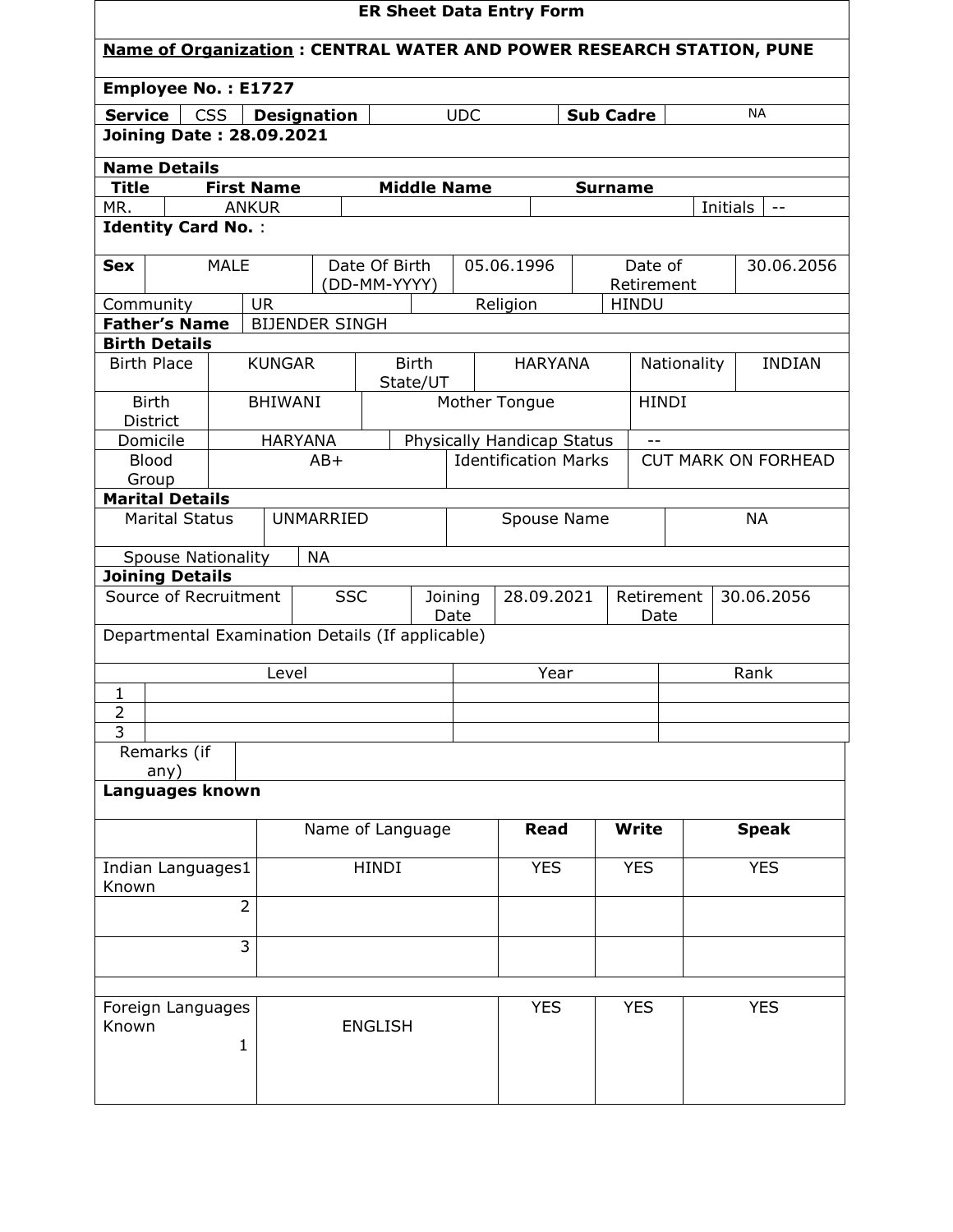| <b>ER Sheet Data Entry Form</b>                                                                   |                   |                |                       |                          |            |                                                           |                |            |                            |                            |              |               |
|---------------------------------------------------------------------------------------------------|-------------------|----------------|-----------------------|--------------------------|------------|-----------------------------------------------------------|----------------|------------|----------------------------|----------------------------|--------------|---------------|
| <b>Name of Organization: CENTRAL WATER AND POWER RESEARCH STATION, PUNE</b>                       |                   |                |                       |                          |            |                                                           |                |            |                            |                            |              |               |
| <b>Employee No.: E1727</b>                                                                        |                   |                |                       |                          |            |                                                           |                |            |                            |                            |              |               |
| <b>Service</b><br><b>CSS</b><br><b>NA</b><br><b>UDC</b><br><b>Sub Cadre</b><br><b>Designation</b> |                   |                |                       |                          |            |                                                           |                |            |                            |                            |              |               |
| <b>Joining Date: 28.09.2021</b>                                                                   |                   |                |                       |                          |            |                                                           |                |            |                            |                            |              |               |
| <b>Name Details</b>                                                                               |                   |                |                       |                          |            |                                                           |                |            |                            |                            |              |               |
| <b>Title</b>                                                                                      | <b>First Name</b> |                |                       |                          |            | <b>Middle Name</b>                                        |                |            | <b>Surname</b>             |                            |              |               |
| MR.<br><b>Identity Card No.:</b>                                                                  | <b>ANKUR</b>      |                |                       |                          |            |                                                           |                |            |                            |                            | Initials     |               |
|                                                                                                   |                   |                |                       |                          |            |                                                           |                |            |                            |                            |              |               |
| <b>Sex</b>                                                                                        | <b>MALE</b>       |                | Date Of Birth         |                          | 05.06.1996 |                                                           |                | Date of    |                            |                            | 30.06.2056   |               |
| Community                                                                                         |                   | <b>UR</b>      |                       | (DD-MM-YYYY)             |            |                                                           | Religion       |            | Retirement<br><b>HINDU</b> |                            |              |               |
| <b>Father's Name</b>                                                                              |                   |                | <b>BIJENDER SINGH</b> |                          |            |                                                           |                |            |                            |                            |              |               |
| <b>Birth Details</b>                                                                              |                   |                |                       |                          |            |                                                           |                |            |                            |                            |              |               |
| <b>Birth Place</b>                                                                                |                   | <b>KUNGAR</b>  |                       | <b>Birth</b><br>State/UT |            |                                                           | <b>HARYANA</b> |            |                            | Nationality                |              | <b>INDIAN</b> |
| <b>Birth</b>                                                                                      |                   | <b>BHIWANI</b> |                       |                          |            |                                                           | Mother Tongue  |            |                            | <b>HINDI</b>               |              |               |
| <b>District</b><br>Domicile                                                                       |                   | <b>HARYANA</b> |                       |                          |            |                                                           |                |            |                            |                            |              |               |
| <b>Blood</b>                                                                                      |                   |                | $AB+$                 |                          |            | Physically Handicap Status<br><b>Identification Marks</b> |                |            |                            | <b>CUT MARK ON FORHEAD</b> |              |               |
| Group                                                                                             |                   |                |                       |                          |            |                                                           |                |            |                            |                            |              |               |
| <b>Marital Details</b>                                                                            |                   |                |                       |                          |            |                                                           |                |            |                            |                            | <b>NA</b>    |               |
| <b>UNMARRIED</b><br><b>Marital Status</b>                                                         |                   |                | Spouse Name           |                          |            |                                                           |                |            |                            |                            |              |               |
| <b>Spouse Nationality</b>                                                                         |                   |                | <b>NA</b>             |                          |            |                                                           |                |            |                            |                            |              |               |
| <b>Joining Details</b>                                                                            |                   |                |                       |                          |            |                                                           |                |            |                            |                            |              |               |
| <b>SSC</b><br>Source of Recruitment                                                               |                   |                |                       | Joining<br>Date          | 28.09.2021 |                                                           | Date           | Retirement | 30.06.2056                 |                            |              |               |
| Departmental Examination Details (If applicable)                                                  |                   |                |                       |                          |            |                                                           |                |            |                            |                            |              |               |
|                                                                                                   |                   | Level          |                       |                          |            |                                                           | Year           |            |                            |                            | Rank         |               |
| $\mathbf{1}$                                                                                      |                   |                |                       |                          |            |                                                           |                |            |                            |                            |              |               |
| $\overline{2}$                                                                                    |                   |                |                       |                          |            |                                                           |                |            |                            |                            |              |               |
| 3                                                                                                 |                   |                |                       |                          |            |                                                           |                |            |                            |                            |              |               |
| Remarks (if<br>any)                                                                               |                   |                |                       |                          |            |                                                           |                |            |                            |                            |              |               |
| Languages known                                                                                   |                   |                |                       |                          |            |                                                           |                |            |                            |                            |              |               |
|                                                                                                   |                   |                |                       |                          |            |                                                           |                |            |                            |                            |              |               |
|                                                                                                   |                   |                | Name of Language      |                          |            |                                                           | Read           |            | <b>Write</b>               |                            | <b>Speak</b> |               |
| Indian Languages1<br>Known                                                                        |                   | <b>HINDI</b>   |                       |                          |            | <b>YES</b>                                                |                | <b>YES</b> |                            | <b>YES</b>                 |              |               |
|                                                                                                   | $\overline{2}$    |                |                       |                          |            |                                                           |                |            |                            |                            |              |               |
|                                                                                                   | $\overline{3}$    |                |                       |                          |            |                                                           |                |            |                            |                            |              |               |
|                                                                                                   |                   |                |                       |                          |            |                                                           |                |            |                            |                            |              |               |
| Foreign Languages<br>Known                                                                        | $\mathbf{1}$      |                |                       | <b>ENGLISH</b>           |            |                                                           | <b>YES</b>     |            | <b>YES</b>                 |                            | <b>YES</b>   |               |
|                                                                                                   |                   |                |                       |                          |            |                                                           |                |            |                            |                            |              |               |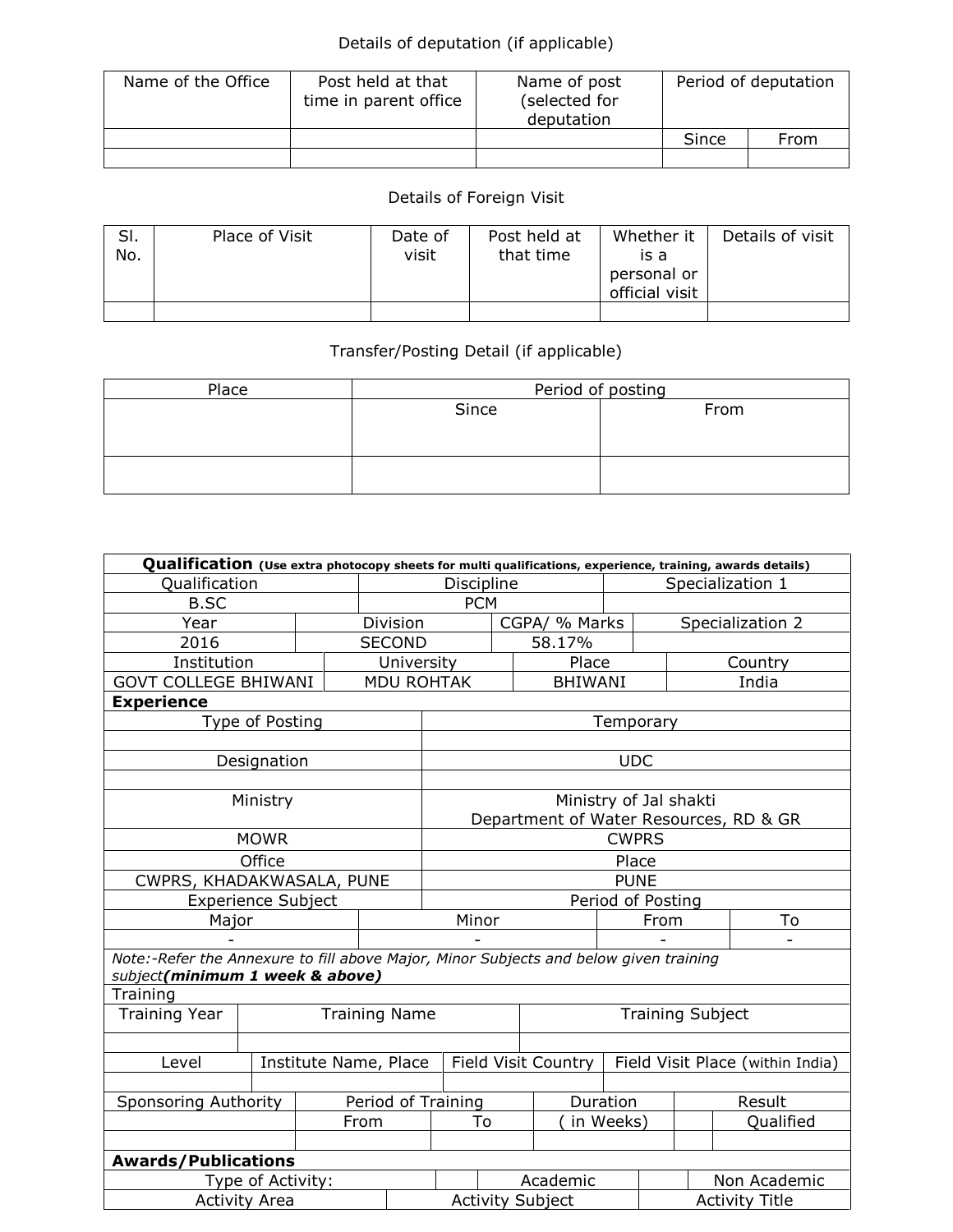## Details of deputation (if applicable)

| Name of the Office | Post held at that<br>time in parent office | Name of post<br>(selected for<br>deputation | Period of deputation |      |
|--------------------|--------------------------------------------|---------------------------------------------|----------------------|------|
|                    |                                            |                                             | Since                | From |
|                    |                                            |                                             |                      |      |

## Details of Foreign Visit

| SI.<br>No. | Place of Visit | Date of<br>visit | Post held at<br>that time | Whether it<br>is a<br>personal or<br>official visit | Details of visit |
|------------|----------------|------------------|---------------------------|-----------------------------------------------------|------------------|
|            |                |                  |                           |                                                     |                  |

## Transfer/Posting Detail (if applicable)

| Place | Period of posting |      |  |  |  |  |
|-------|-------------------|------|--|--|--|--|
|       | Since             | From |  |  |  |  |
|       |                   |      |  |  |  |  |
|       |                   |      |  |  |  |  |
|       |                   |      |  |  |  |  |
|       |                   |      |  |  |  |  |

| Qualification (Use extra photocopy sheets for multi qualifications, experience, training, awards details)                |                           |          |                      |                                                         |               |                                        |                        |  |           |  |
|--------------------------------------------------------------------------------------------------------------------------|---------------------------|----------|----------------------|---------------------------------------------------------|---------------|----------------------------------------|------------------------|--|-----------|--|
| Qualification                                                                                                            |                           |          |                      | Discipline                                              |               |                                        | Specialization 1       |  |           |  |
| <b>B.SC</b>                                                                                                              |                           |          | <b>PCM</b>           |                                                         |               |                                        |                        |  |           |  |
| Year                                                                                                                     |                           | Division |                      |                                                         | CGPA/ % Marks |                                        | Specialization 2       |  |           |  |
| 2016                                                                                                                     |                           |          | <b>SECOND</b>        |                                                         |               | 58.17%                                 |                        |  |           |  |
| Institution                                                                                                              |                           |          | University           |                                                         |               |                                        | Place                  |  | Country   |  |
| <b>GOVT COLLEGE BHIWANI</b>                                                                                              |                           |          | <b>MDU ROHTAK</b>    |                                                         |               | <b>BHIWANI</b>                         |                        |  | India     |  |
| <b>Experience</b>                                                                                                        |                           |          |                      |                                                         |               |                                        |                        |  |           |  |
|                                                                                                                          | Type of Posting           |          |                      |                                                         |               |                                        | Temporary              |  |           |  |
|                                                                                                                          |                           |          |                      |                                                         |               |                                        |                        |  |           |  |
|                                                                                                                          | Designation               |          |                      |                                                         |               |                                        | <b>UDC</b>             |  |           |  |
|                                                                                                                          |                           |          |                      |                                                         |               |                                        |                        |  |           |  |
|                                                                                                                          | Ministry                  |          |                      |                                                         |               |                                        | Ministry of Jal shakti |  |           |  |
|                                                                                                                          |                           |          |                      |                                                         |               | Department of Water Resources, RD & GR |                        |  |           |  |
|                                                                                                                          | <b>MOWR</b>               |          |                      |                                                         | <b>CWPRS</b>  |                                        |                        |  |           |  |
|                                                                                                                          | Office                    |          |                      | Place                                                   |               |                                        |                        |  |           |  |
| CWPRS, KHADAKWASALA, PUNE                                                                                                |                           |          |                      | <b>PUNE</b>                                             |               |                                        |                        |  |           |  |
|                                                                                                                          | <b>Experience Subject</b> |          |                      | Period of Posting                                       |               |                                        |                        |  |           |  |
| Major                                                                                                                    |                           |          |                      | Minor                                                   |               |                                        | From                   |  | To        |  |
|                                                                                                                          |                           |          |                      |                                                         |               |                                        |                        |  |           |  |
| Note:-Refer the Annexure to fill above Major, Minor Subjects and below given training<br>subject(minimum 1 week & above) |                           |          |                      |                                                         |               |                                        |                        |  |           |  |
| Training                                                                                                                 |                           |          |                      |                                                         |               |                                        |                        |  |           |  |
| <b>Training Year</b>                                                                                                     |                           |          | <b>Training Name</b> | <b>Training Subject</b>                                 |               |                                        |                        |  |           |  |
|                                                                                                                          |                           |          |                      |                                                         |               |                                        |                        |  |           |  |
| Level                                                                                                                    | Institute Name, Place     |          |                      | Field Visit Country<br>Field Visit Place (within India) |               |                                        |                        |  |           |  |
|                                                                                                                          |                           |          |                      |                                                         |               |                                        |                        |  |           |  |
| Sponsoring Authority                                                                                                     |                           |          | Period of Training   |                                                         |               |                                        | Duration               |  | Result    |  |
|                                                                                                                          |                           |          | From                 |                                                         | To            |                                        | in Weeks)              |  | Qualified |  |
|                                                                                                                          |                           |          |                      |                                                         |               |                                        |                        |  |           |  |
| <b>Awards/Publications</b>                                                                                               |                           |          |                      |                                                         |               |                                        |                        |  |           |  |
| Type of Activity:                                                                                                        |                           |          | Academic             |                                                         |               | Non Academic                           |                        |  |           |  |
| <b>Activity Area</b>                                                                                                     |                           |          |                      | <b>Activity Title</b><br><b>Activity Subject</b>        |               |                                        |                        |  |           |  |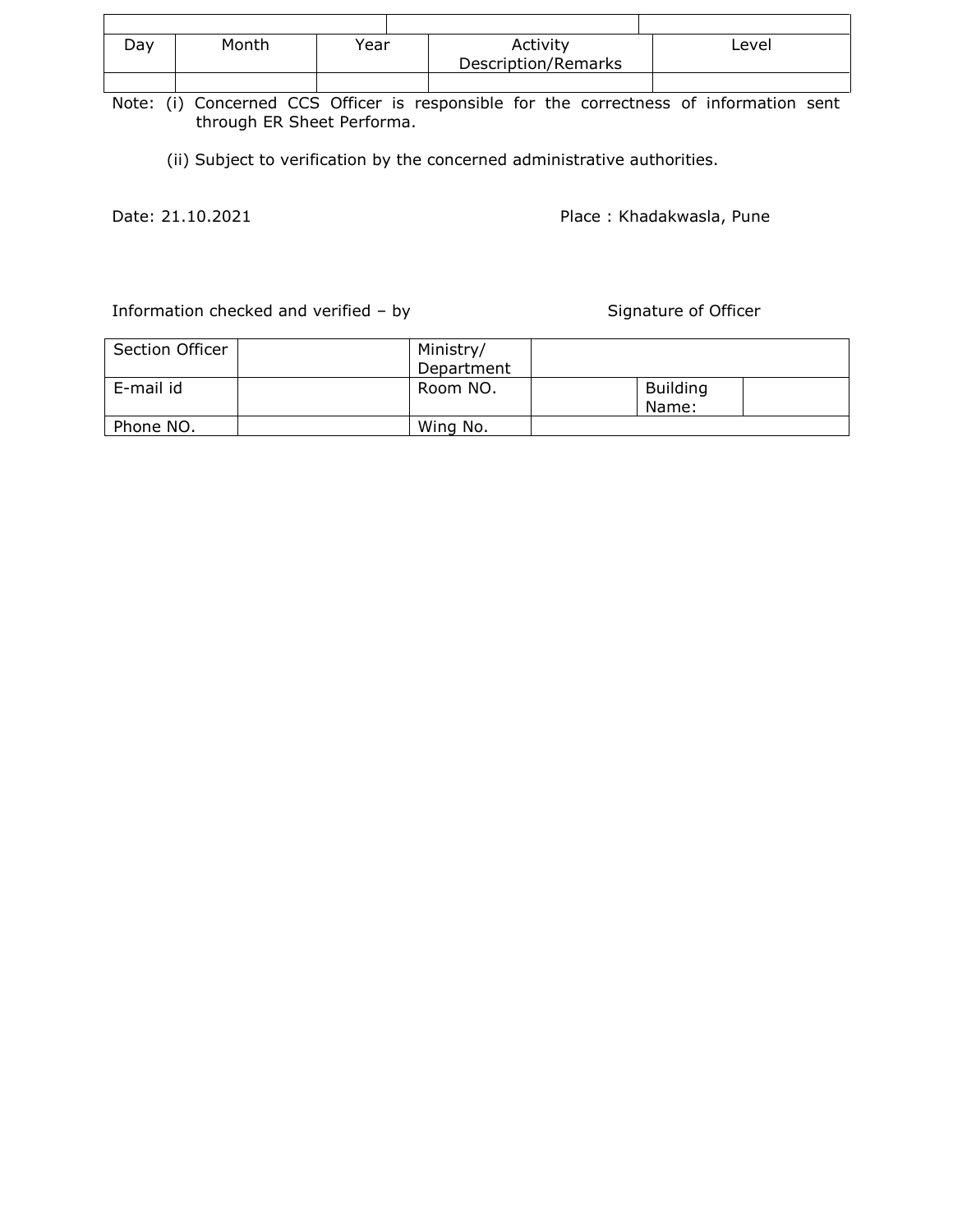| Day | Month | Year | Activity<br>Description/Remarks | Level |
|-----|-------|------|---------------------------------|-------|
|     |       |      |                                 |       |

Note: (i) Concerned CCS Officer is responsible for the correctness of information sent through ER Sheet Performa.

(ii) Subject to verification by the concerned administrative authorities.

Date: 21.10.2021 **Place : Khadakwasla, Pune** 

Information checked and verified – by Signature of Officer

| Section Officer | Ministry/<br>Department |                          |
|-----------------|-------------------------|--------------------------|
| E-mail id       | Room NO.                | <b>Building</b><br>Name: |
| Phone NO.       | Wing No.                |                          |